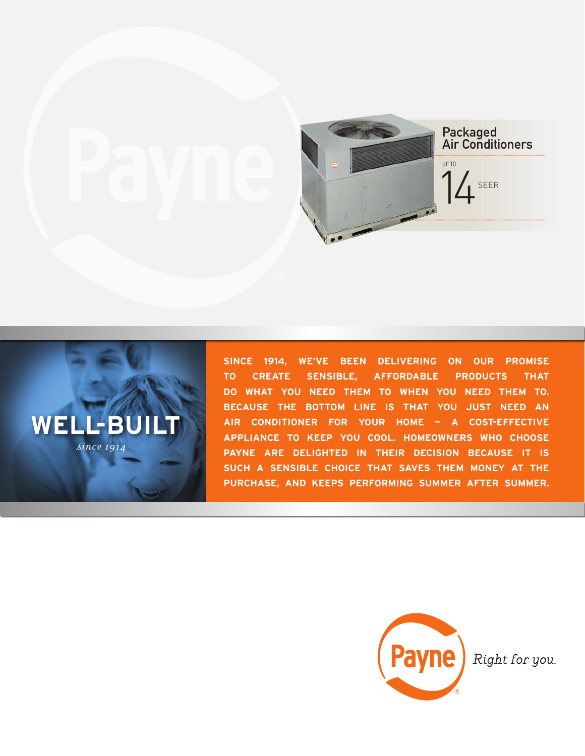



**SINCE 1914, WE'VE BEEN DELIVERING ON OUR PROMISE TO CREATE SENSIBLE, AFFORDABLE PRODUCTS THAT DO WHAT YOU NEED THEM TO WHEN YOU NEED THEM TO. BECAUSE THE BOTTOM LINE IS THAT YOU JUST NEED AN AIR CONDITIONER FOR YOUR HOME — A COST-EFFECTIVE APPLIANCE TO KEEP YOU COOL. HOMEOWNERS WHO CHOOSE PAYNE ARE DELIGHTED IN THEIR DECISION BECAUSE IT IS SUCH A SENSIBLE CHOICE THAT SAVES THEM MONEY AT THE PURCHASE, AND KEEPS PERFORMING SUMMER AFTER SUMMER.**



Right for you.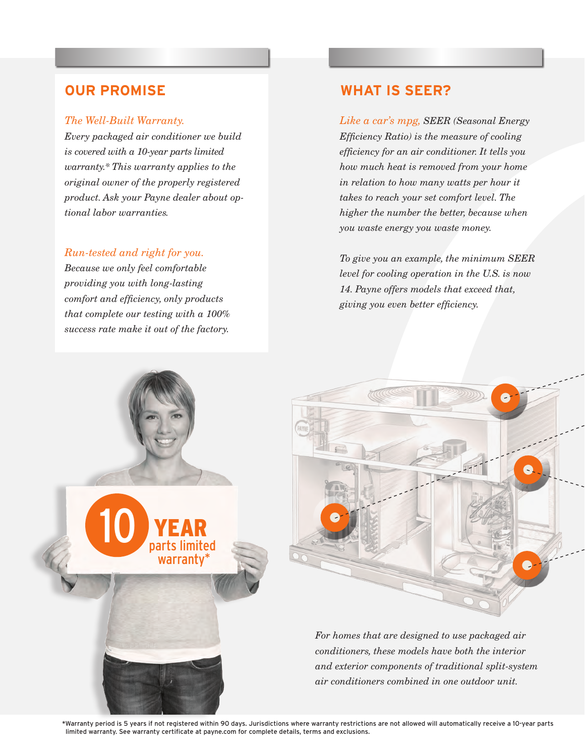### *The Well-Built Warranty.*

*Every packaged air conditioner we build is covered with a 10-year parts limited warranty.\* This warranty applies to the original owner of the properly registered product. Ask your Payne dealer about optional labor warranties.*

## *Run-tested and right for you.*

*Because we only feel comfortable providing you with long-lasting comfort and efficiency, only products that complete our testing with a 100% success rate make it out of the factory.* 

# **OUR PROMISE WHAT IS SEER?**

*Like a car's mpg, SEER (Seasonal Energy Efficiency Ratio) is the measure of cooling efficiency for an air conditioner. It tells you how much heat is removed from your home in relation to how many watts per hour it takes to reach your set comfort level. The higher the number the better, because when you waste energy you waste money.*

*To give you an example, the minimum SEER level for cooling operation in the U.S. is now 14. Payne offers models that exceed that, giving you even better efficiency.*



\*Warranty period is 5 years if not registered within 90 days. Jurisdictions where warranty restrictions are not allowed will automatically receive a 10-year parts limited warranty. See warranty certificate at payne.com for complete details, terms and exclusions.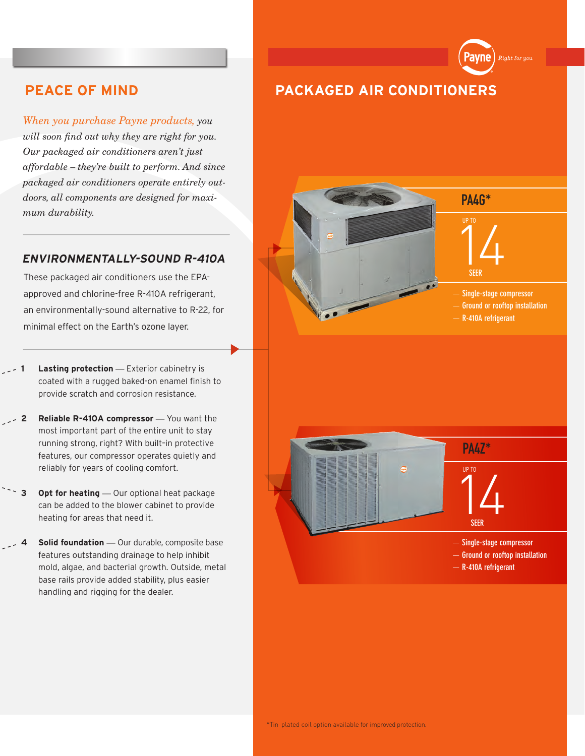*When you purchase Payne products, you will soon find out why they are right for you. Our packaged air conditioners aren't just affordable – they're built to perform. And since packaged air conditioners operate entirely outdoors, all components are designed for maximum durability.*

# **ENVIRONMENTALLY-SOUND R-410A**

These packaged air conditioners use the EPAapproved and chlorine-free R-410A refrigerant, an environmentally-sound alternative to R-22, for minimal effect on the Earth's ozone layer.

- **1 Lasting protection** *—* Exterior cabinetry is coated with a rugged baked-on enamel finish to provide scratch and corrosion resistance.
- **2 Reliable R-410A compressor** *—* You want the most important part of the entire unit to stay running strong, right? With built–in protective features, our compressor operates quietly and reliably for years of cooling comfort.
	- **3** Opt for heating Our optional heat package can be added to the blower cabinet to provide heating for areas that need it.
	- **5 Solid foundation** Our durable, composite base features outstanding drainage to help inhibit mold, algae, and bacterial growth. Outside, metal base rails provide added stability, plus easier handling and rigging for the dealer.





PA4G\*

**avne** 

.<br>Right for you.



- **Single-stage compressor**
- **Ground or rooftop installation**
- **R-410A refrigerant**



 $\frac{1}{4}$ **SEER PA47\*** UP TO

— **Single-stage compressor**

- **Ground or rooftop installation**
- **R-410A refrigerant**